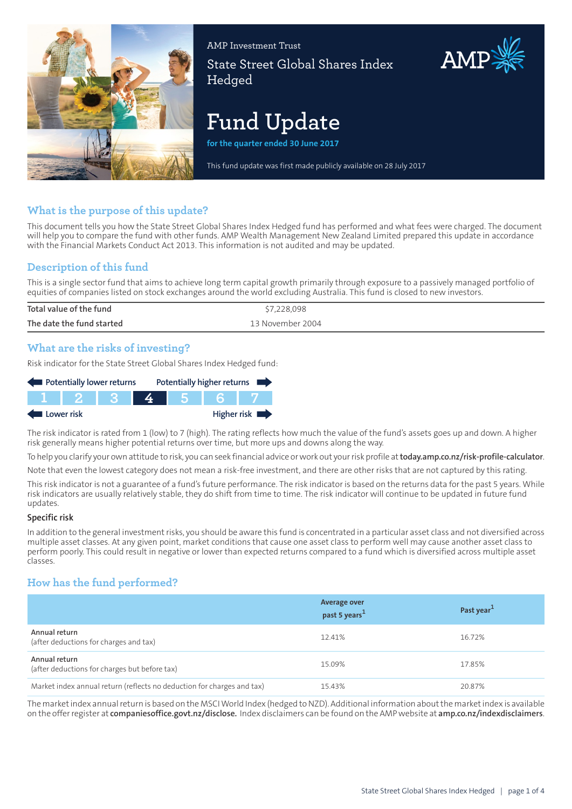

AMP Investment Trust State Street Global Shares Index **Hedged** 

# **Fund Update**

**for the quarter ended 30 June 2017**

This fund update was first made publicly available on 28 July 2017

## **What is the purpose of this update?**

This document tells you how the State Street Global Shares Index Hedged fund has performed and what fees were charged. The document will help you to compare the fund with other funds. AMP Wealth Management New Zealand Limited prepared this update in accordance with the Financial Markets Conduct Act 2013. This information is not audited and may be updated.

# **Description of this fund**

This is a single sector fund that aims to achieve long term capital growth primarily through exposure to a passively managed portfolio of equities of companies listed on stock exchanges around the world excluding Australia. This fund is closed to new investors.

| Total value of the fund   | 7,228,098        |
|---------------------------|------------------|
| The date the fund started | 13 November 2004 |
|                           |                  |

## **What are the risks of investing?**

Risk indicator for the State Street Global Shares Index Hedged fund:

| Potentially lower returns |  |  |  |  | Potentially higher returns |                            |
|---------------------------|--|--|--|--|----------------------------|----------------------------|
|                           |  |  |  |  |                            |                            |
| Lower risk                |  |  |  |  |                            | Higher risk $\blacksquare$ |

The risk indicator is rated from 1 (low) to 7 (high). The rating reflects how much the value of the fund's assets goes up and down. A higher risk generally means higher potential returns over time, but more ups and downs along the way.

To help you clarify your own attitude to risk, you can seek financial advice orwork out yourrisk profile at**[today.amp.co.nz/risk-profile-calculator](http://today.amp.co.nz/risk-profile-calculator)**.

Note that even the lowest category does not mean a risk-free investment, and there are other risks that are not captured by this rating.

This risk indicator is not a guarantee of a fund's future performance. The risk indicator is based on the returns data for the past 5 years. While risk indicators are usually relatively stable, they do shift from time to time. The risk indicator will continue to be updated in future fund updates.

#### **Specific risk**

In addition to the general investmentrisks, you should be aware this fund is concentrated in a particular asset class and not diversified across multiple asset classes. At any given point, market conditions that cause one asset class to perform well may cause another asset class to perform poorly. This could result in negative or lower than expected returns compared to a fund which is diversified across multiple asset classes.

# **How has the fund performed?**

|                                                                        | <b>Average over</b><br>past 5 years <sup>1</sup> | Past year <sup>1</sup> |
|------------------------------------------------------------------------|--------------------------------------------------|------------------------|
| Annual return<br>(after deductions for charges and tax)                | 12.41%                                           | 16.72%                 |
| Annual return<br>(after deductions for charges but before tax)         | 15.09%                                           | 17.85%                 |
| Market index annual return (reflects no deduction for charges and tax) | 15.43%                                           | 20.87%                 |

The marketindex annualreturn is based on the MSCIWorld Index (hedged to NZD). Additional information aboutthe marketindex is available on the offerregister at **[companiesoffice.govt.nz/disclose.](http://companiesoffice.govt.nz/disclose)** Index disclaimers can be found on the AMP website at **[amp.co.nz/indexdisclaimers](http://amp.co.nz/indexdisclaimers)**.

AMP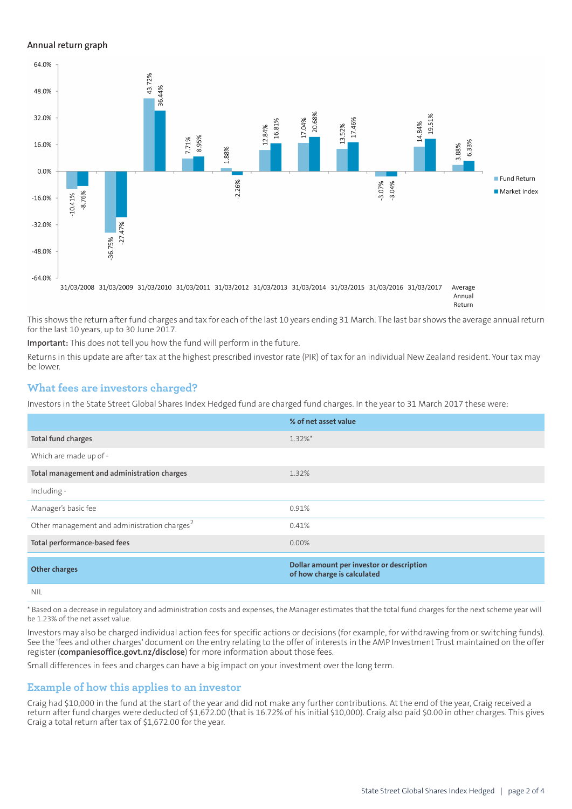#### **Annual return graph**



This shows the return after fund charges and tax for each of the last 10 years ending 31 March. The last bar shows the average annual return for the last 10 years, up to 30 June 2017.

**Important:** This does not tell you how the fund will perform in the future.

Returns in this update are after tax at the highest prescribed investor rate (PIR) of tax for an individual New Zealand resident. Your tax may be lower.

### **What fees are investors charged?**

Investors in the State Street Global Shares Index Hedged fund are charged fund charges. In the year to 31 March 2017 these were:

|                                                          | % of net asset value                                                     |
|----------------------------------------------------------|--------------------------------------------------------------------------|
| Total fund charges                                       | $1.32\%$ *                                                               |
| Which are made up of -                                   |                                                                          |
| Total management and administration charges              | 1.32%                                                                    |
| Including -                                              |                                                                          |
| Manager's basic fee                                      | 0.91%                                                                    |
| Other management and administration charges <sup>2</sup> | 0.41%                                                                    |
| Total performance-based fees                             | $0.00\%$                                                                 |
| <b>Other charges</b>                                     | Dollar amount per investor or description<br>of how charge is calculated |
| <b>NIL</b>                                               |                                                                          |

\* Based on a decrease in regulatory and administration costs and expenses, the Manager estimates that the total fund charges for the next scheme year will be 1.23% of the net asset value.

Investors may also be charged individual action fees for specific actions or decisions (for example, for withdrawing from or switching funds). See the 'fees and other charges' document on the entry relating to the offer of interests in the AMP Investment Trust maintained on the offer register (**[companiesoffice.govt.nz/disclose](http://companiesoffice.govt.nz/disclose)**) for more information about those fees.

Small differences in fees and charges can have a big impact on your investment over the long term.

#### **Example of how this applies to an investor**

Craig had \$10,000 in the fund at the start of the year and did not make any further contributions. At the end of the year, Craig received a return after fund charges were deducted of \$1,672.00 (that is 16.72% of his initial \$10,000). Craig also paid \$0.00 in other charges. This gives Craig a total return after tax of \$1,672.00 for the year.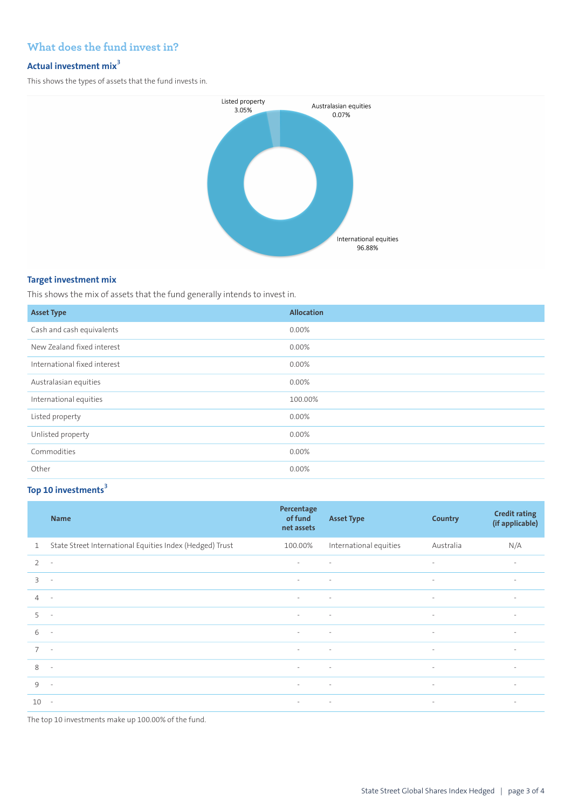# **What does the fund invest in?**

## **Actual investment mix<sup>3</sup>**

This shows the types of assets that the fund invests in.



#### **Target investment mix**

This shows the mix of assets that the fund generally intends to invest in.

| <b>Asset Type</b>            | <b>Allocation</b> |
|------------------------------|-------------------|
| Cash and cash equivalents    | 0.00%             |
| New Zealand fixed interest   | 0.00%             |
| International fixed interest | 0.00%             |
| Australasian equities        | 0.00%             |
| International equities       | 100.00%           |
| Listed property              | 0.00%             |
| Unlisted property            | 0.00%             |
| Commodities                  | 0.00%             |
| Other                        | 0.00%             |

## **Top 10 investments<sup>3</sup>**

|                | <b>Name</b>                                              | Percentage<br>of fund<br>net assets | <b>Asset Type</b>      | Country                  | <b>Credit rating</b><br>(if applicable) |
|----------------|----------------------------------------------------------|-------------------------------------|------------------------|--------------------------|-----------------------------------------|
| $\mathbf{1}$   | State Street International Equities Index (Hedged) Trust | 100.00%                             | International equities | Australia                | N/A                                     |
| 2              | $\overline{\phantom{a}}$                                 | $\overline{\phantom{a}}$            | $\sim$                 | $\overline{\phantom{a}}$ | $\overline{\phantom{a}}$                |
| $\overline{3}$ | $\sim$                                                   | $\sim$                              | $\sim$                 | $\overline{\phantom{a}}$ | $\sim$                                  |
| $\overline{4}$ | $\sim$                                                   | $\sim$                              | $\sim$                 | $\overline{\phantom{a}}$ | $\sim$                                  |
| 5              | $\sim$                                                   | $\sim$                              | $\sim$                 | $\overline{\phantom{a}}$ | $\sim$                                  |
| 6              | $\sim$                                                   | $\sim$                              | $\sim$                 | $\overline{\phantom{a}}$ | $\sim$                                  |
| $\overline{7}$ | $\sim$                                                   | $\sim$                              | $\sim$                 | $\overline{\phantom{a}}$ | $\overline{\phantom{a}}$                |
| 8              | $\sim$                                                   | $\sim$                              | $\sim$                 | $\overline{\phantom{a}}$ | $\overline{\phantom{a}}$                |
| $\circ$        | $\sim$                                                   | $\sim$                              | $\sim$                 | $\overline{\phantom{a}}$ | $\sim$                                  |
| $10 -$         |                                                          | $\sim$                              | $\sim 100$ m $^{-1}$   | $\sim$                   | $\sim$                                  |

The top 10 investments make up 100.00% of the fund.